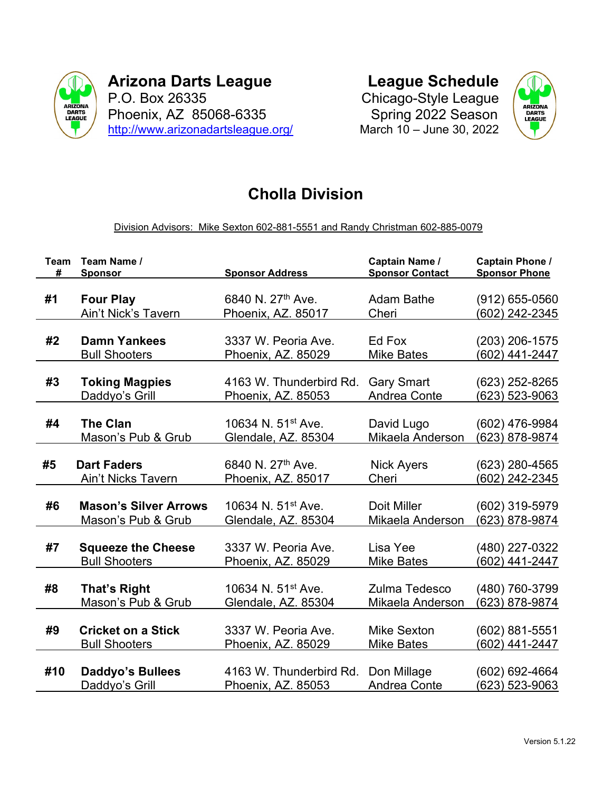

Arizona Darts League P.O. Box 26335 Phoenix, AZ 85068-6335 http://www.arizonadartsleague.org/ League Schedule

Chicago-Style League Spring 2022 Season March 10 – June 30, 2022



## Cholla Division

Division Advisors: Mike Sexton 602-881-5551 and Randy Christman 602-885-0079

| <b>Team</b> | Team Name /                  | <b>Sponsor Address</b>         | Captain Name /         | <b>Captain Phone /</b> |
|-------------|------------------------------|--------------------------------|------------------------|------------------------|
| #           | <b>Sponsor</b>               |                                | <b>Sponsor Contact</b> | <b>Sponsor Phone</b>   |
| #1          | <b>Four Play</b>             | 6840 N. 27 <sup>th</sup> Ave.  | <b>Adam Bathe</b>      | $(912) 655 - 0560$     |
|             | Ain't Nick's Tavern          | Phoenix, AZ. 85017             | Cheri                  | <u>(602) 242-2345</u>  |
| #2          | <b>Damn Yankees</b>          | 3337 W. Peoria Ave.            | Ed Fox                 | (203) 206-1575         |
|             | <b>Bull Shooters</b>         | Phoenix, AZ. 85029             | <b>Mike Bates</b>      | (602) 441-2447         |
| #3          | <b>Toking Magpies</b>        | 4163 W. Thunderbird Rd.        | <b>Gary Smart</b>      | (623) 252-8265         |
|             | Daddyo's Grill               | <u>Phoenix, AZ. 85053</u>      | <b>Andrea Conte</b>    | <u>(623) 523-9063</u>  |
| #4          | <b>The Clan</b>              | 10634 N. 51 <sup>st</sup> Ave. | David Lugo             | (602) 476-9984         |
|             | Mason's Pub & Grub           | Glendale, AZ. 85304            | Mikaela Anderson       | (623) 878-9874         |
| #5          | <b>Dart Faders</b>           | 6840 N. 27th Ave.              | <b>Nick Ayers</b>      | (623) 280-4565         |
|             | <b>Ain't Nicks Tavern</b>    | Phoenix, AZ. 85017             | Cheri                  | <u>(602) 242-2345</u>  |
| #6          | <b>Mason's Silver Arrows</b> | 10634 N. 51 <sup>st</sup> Ave. | Doit Miller            | (602) 319-5979         |
|             | Mason's Pub & Grub           | Glendale, AZ. 85304            | Mikaela Anderson       | (623) 878-9874         |
| #7          | <b>Squeeze the Cheese</b>    | 3337 W. Peoria Ave.            | Lisa Yee               | (480) 227-0322         |
|             | <b>Bull Shooters</b>         | Phoenix, AZ. 85029             | <b>Mike Bates</b>      | (602) 441-2447         |
| #8          | <b>That's Right</b>          | 10634 N. 51 <sup>st</sup> Ave. | Zulma Tedesco          | (480) 760-3799         |
|             | Mason's Pub & Grub           | Glendale, AZ. 85304            | Mikaela Anderson       | (623) 878-9874         |
| #9          | <b>Cricket on a Stick</b>    | 3337 W. Peoria Ave.            | <b>Mike Sexton</b>     | (602) 881-5551         |
|             | <b>Bull Shooters</b>         | Phoenix, AZ. 85029             | <b>Mike Bates</b>      | (602) 441-2447         |
| #10         | <b>Daddyo's Bullees</b>      | 4163 W. Thunderbird Rd.        | Don Millage            | (602) 692-4664         |
|             | Daddyo's Grill               | Phoenix, AZ. 85053             | Andrea Conte           | (623) 523-9063         |